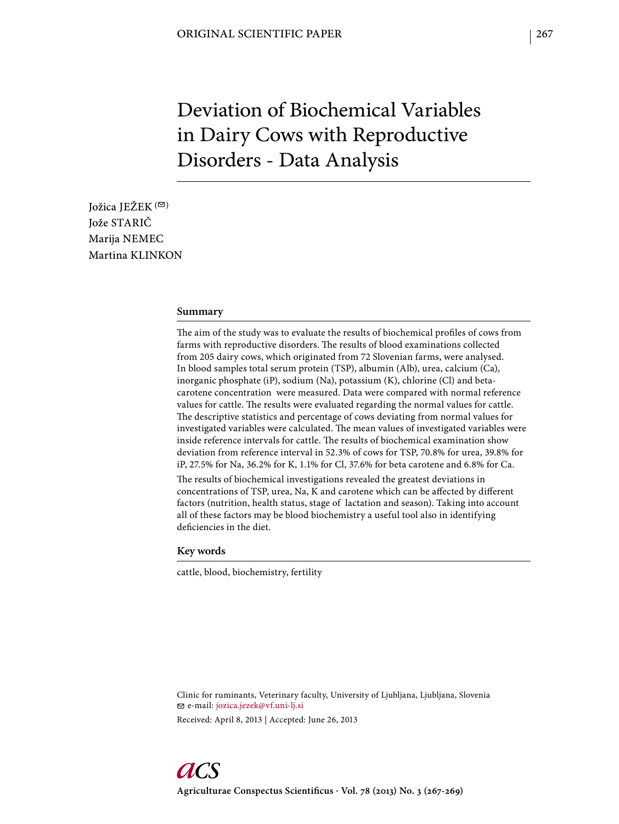# Deviation of Biochemical Variables in Dairy Cows with Reproductive Disorders - Data Analysis

Jožica JEŽEK<sup>(⊠)</sup> Jože STARIČ Marija NEMEC Martina KLINKON

#### **Summary**

The aim of the study was to evaluate the results of biochemical profiles of cows from farms with reproductive disorders. The results of blood examinations collected from 205 dairy cows, which originated from 72 Slovenian farms, were analysed. In blood samples total serum protein (TSP), albumin (Alb), urea, calcium (Ca), inorganic phosphate (iP), sodium (Na), potassium (K), chlorine (Cl) and betacarotene concentration were measured. Data were compared with normal reference values for cattle. The results were evaluated regarding the normal values for cattle. The descriptive statistics and percentage of cows deviating from normal values for investigated variables were calculated. The mean values of investigated variables were inside reference intervals for cattle. The results of biochemical examination show deviation from reference interval in 52.3% of cows for TSP, 70.8% for urea, 39.8% for iP, 27.5% for Na, 36.2% for K, 1.1% for Cl, 37.6% for beta carotene and 6.8% for Ca. The results of biochemical investigations revealed the greatest deviations in

concentrations of TSP, urea, Na, K and carotene which can be affected by different factors (nutrition, health status, stage of lactation and season). Taking into account all of these factors may be blood biochemistry a useful tool also in identifying deficiencies in the diet.

#### **Key words**

cattle, blood, biochemistry, fertility

Clinic for ruminants, Veterinary faculty, University of Ljubljana, Ljubljana, Slovenia e-mail: jozica.jezek@vf.uni-lj.si Received: April 8, 2013 | Accepted: June 26, 2013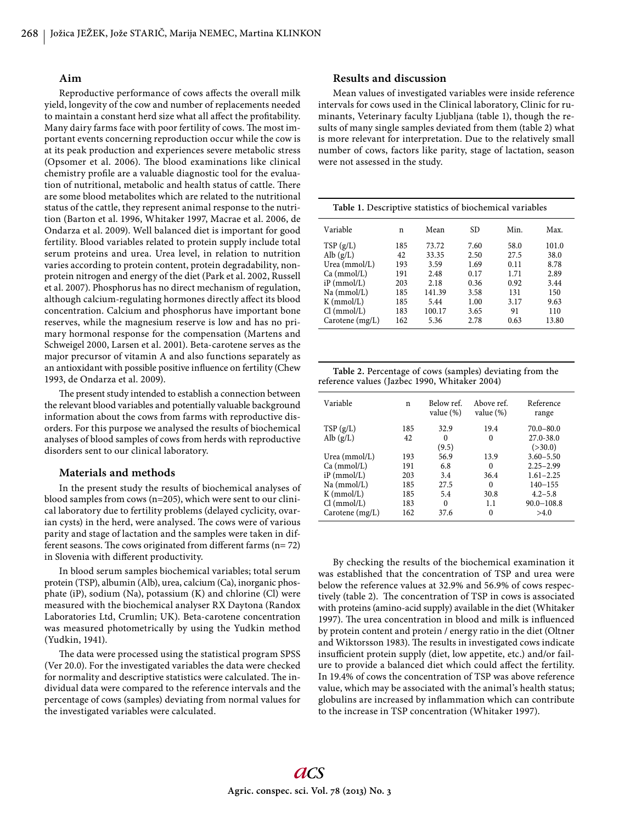## **Aim**

Reproductive performance of cows affects the overall milk yield, longevity of the cow and number of replacements needed to maintain a constant herd size what all affect the profitability. Many dairy farms face with poor fertility of cows. The most important events concerning reproduction occur while the cow is at its peak production and experiences severe metabolic stress (Opsomer et al. 2006). The blood examinations like clinical chemistry profile are a valuable diagnostic tool for the evaluation of nutritional, metabolic and health status of cattle. There are some blood metabolites which are related to the nutritional status of the cattle, they represent animal response to the nutrition (Barton et al. 1996, Whitaker 1997, Macrae et al. 2006, de Ondarza et al. 2009). Well balanced diet is important for good fertility. Blood variables related to protein supply include total serum proteins and urea. Urea level, in relation to nutrition varies according to protein content, protein degradability, nonprotein nitrogen and energy of the diet (Park et al. 2002, Russell et al. 2007). Phosphorus has no direct mechanism of regulation, although calcium-regulating hormones directly affect its blood concentration. Calcium and phosphorus have important bone reserves, while the magnesium reserve is low and has no primary hormonal response for the compensation (Martens and Schweigel 2000, Larsen et al. 2001). Beta-carotene serves as the major precursor of vitamin A and also functions separately as an antioxidant with possible positive influence on fertility (Chew 1993, de Ondarza et al. 2009).

The present study intended to establish a connection between the relevant blood variables and potentially valuable background information about the cows from farms with reproductive disorders. For this purpose we analysed the results of biochemical analyses of blood samples of cows from herds with reproductive disorders sent to our clinical laboratory.

#### **Materials and methods**

In the present study the results of biochemical analyses of blood samples from cows (n=205), which were sent to our clinical laboratory due to fertility problems (delayed cyclicity, ovarian cysts) in the herd, were analysed. The cows were of various parity and stage of lactation and the samples were taken in different seasons. The cows originated from different farms  $(n= 72)$ in Slovenia with different productivity.

In blood serum samples biochemical variables; total serum protein (TSP), albumin (Alb), urea, calcium (Ca), inorganic phosphate (iP), sodium (Na), potassium (K) and chlorine (Cl) were measured with the biochemical analyser RX Daytona (Randox Laboratories Ltd, Crumlin; UK). Beta-carotene concentration was measured photometrically by using the Yudkin method (Yudkin, 1941).

The data were processed using the statistical program SPSS (Ver 20.0). For the investigated variables the data were checked for normality and descriptive statistics were calculated. The individual data were compared to the reference intervals and the percentage of cows (samples) deviating from normal values for the investigated variables were calculated.

# **Results and discussion**

Mean values of investigated variables were inside reference intervals for cows used in the Clinical laboratory, Clinic for ruminants, Veterinary faculty Ljubljana (table 1), though the results of many single samples deviated from them (table 2) what is more relevant for interpretation. Due to the relatively small number of cows, factors like parity, stage of lactation, season were not assessed in the study.

| Table 1. Descriptive statistics of biochemical variables |     |        |      |      |       |  |  |  |
|----------------------------------------------------------|-----|--------|------|------|-------|--|--|--|
| Variable                                                 | n   | Mean   | SD.  | Min. | Max.  |  |  |  |
| TSP(g/L)                                                 | 185 | 73.72  | 7.60 | 58.0 | 101.0 |  |  |  |
| Alb $(g/L)$                                              | 42  | 33.35  | 2.50 | 27.5 | 38.0  |  |  |  |
| Urea (mmol/L)                                            | 193 | 3.59   | 1.69 | 0.11 | 8.78  |  |  |  |
| Ca (mmol/L)                                              | 191 | 2.48   | 0.17 | 1.71 | 2.89  |  |  |  |
| $iP$ (mmol/L)                                            | 203 | 2.18   | 0.36 | 0.92 | 3.44  |  |  |  |
| Na (mmol/L)                                              | 185 | 141.39 | 3.58 | 131  | 150   |  |  |  |
| $K$ (mmol/L)                                             | 185 | 5.44   | 1.00 | 3.17 | 9.63  |  |  |  |
| Cl (mmol/L)                                              | 183 | 100.17 | 3.65 | 91   | 110   |  |  |  |
| Carotene $(mg/L)$                                        | 162 | 5.36   | 2.78 | 0.63 | 13.80 |  |  |  |

| Table 2. Percentage of cows (samples) deviating from the |  |
|----------------------------------------------------------|--|
| reference values (Jazbec 1990, Whitaker 2004)            |  |

| Variable          | n   | Below ref.<br>value $(\%)$ | Above ref.<br>value $(\%)$ | Reference<br>range |
|-------------------|-----|----------------------------|----------------------------|--------------------|
| TSP(g/L)          | 185 | 32.9                       | 19.4                       | $70.0 - 80.0$      |
| Alb $(g/L)$       | 42  | 0                          | $\Omega$                   | 27.0-38.0          |
|                   |     | (9.5)                      |                            | ( > 30.0)          |
| Urea $(mmol/L)$   | 193 | 56.9                       | 13.9                       | $3.60 - 5.50$      |
| Ca (mmol/L)       | 191 | 6.8                        | $\Omega$                   | $2.25 - 2.99$      |
| $iP$ (mmol/L)     | 203 | 3.4                        | 36.4                       | $1.61 - 2.25$      |
| Na (mmol/L)       | 185 | 27.5                       | $\theta$                   | $140 - 155$        |
| $K$ (mmol/L)      | 185 | 5.4                        | 30.8                       | $4.2 - 5.8$        |
| Cl (mmol/L)       | 183 | 0                          | 1.1                        | $90.0 - 108.8$     |
| Carotene $(mg/L)$ | 162 | 37.6                       | $\Omega$                   | >4.0               |

By checking the results of the biochemical examination it was established that the concentration of TSP and urea were below the reference values at 32.9% and 56.9% of cows respectively (table 2). The concentration of TSP in cows is associated with proteins (amino-acid supply) available in the diet (Whitaker 1997). The urea concentration in blood and milk is influenced by protein content and protein / energy ratio in the diet (Oltner and Wiktorsson 1983). The results in investigated cows indicate insufficient protein supply (diet, low appetite, etc.) and/or failure to provide a balanced diet which could affect the fertility. In 19.4% of cows the concentration of TSP was above reference value, which may be associated with the animal's health status; globulins are increased by inflammation which can contribute to the increase in TSP concentration (Whitaker 1997).